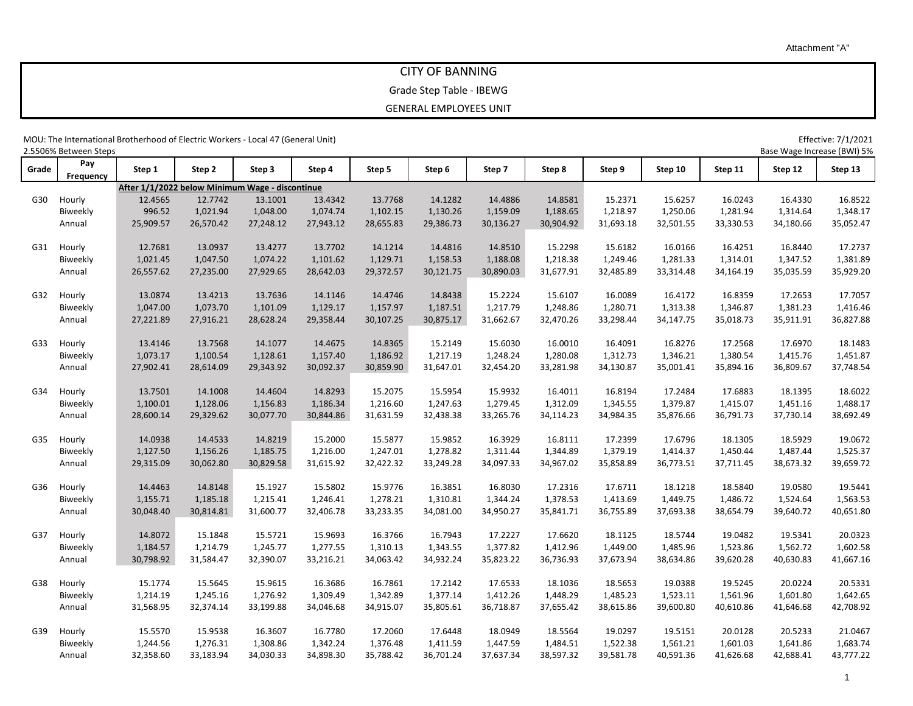# CITY OF BANNING

Grade Step Table - IBEWG

GENERAL EMPLOYEES UNIT

MOU: The International Brotherhood of Electric Workers - Local 47 (General Unit) Effective: 7/1/2021<br>2.5506% Between Steps (BWI) 5% Base Wage Increase (BWI) 5%

| 2.5506% Between Steps |           |           |                                                 |           |           |           |           |           |           | Base Wage Increase (BWI) 5% |           |           |           |           |
|-----------------------|-----------|-----------|-------------------------------------------------|-----------|-----------|-----------|-----------|-----------|-----------|-----------------------------|-----------|-----------|-----------|-----------|
| Grade                 | Pay       | Step 1    | Step 2                                          | Step 3    | Step 4    | Step 5    | Step 6    | Step 7    | Step 8    | Step 9                      | Step 10   | Step 11   | Step 12   | Step 13   |
|                       | Frequency |           | After 1/1/2022 below Minimum Wage - discontinue |           |           |           |           |           |           |                             |           |           |           |           |
|                       |           |           |                                                 |           |           |           |           |           |           |                             |           |           |           |           |
| G30                   | Hourly    | 12.4565   | 12.7742                                         | 13.1001   | 13.4342   | 13.7768   | 14.1282   | 14.4886   | 14.8581   | 15.2371                     | 15.6257   | 16.0243   | 16.4330   | 16.8522   |
|                       | Biweekly  | 996.52    | 1,021.94                                        | 1,048.00  | 1,074.74  | 1,102.15  | 1,130.26  | 1,159.09  | 1,188.65  | 1,218.97                    | 1,250.06  | 1,281.94  | 1,314.64  | 1,348.17  |
|                       | Annual    | 25,909.57 | 26,570.42                                       | 27,248.12 | 27,943.12 | 28,655.83 | 29,386.73 | 30,136.27 | 30,904.92 | 31,693.18                   | 32,501.55 | 33,330.53 | 34,180.66 | 35,052.47 |
| G31                   | Hourly    | 12.7681   | 13.0937                                         | 13.4277   | 13.7702   | 14.1214   | 14.4816   | 14.8510   | 15.2298   | 15.6182                     | 16.0166   | 16.4251   | 16.8440   | 17.2737   |
|                       | Biweekly  | 1,021.45  | 1,047.50                                        | 1,074.22  | 1,101.62  | 1,129.71  | 1,158.53  | 1,188.08  | 1,218.38  | 1,249.46                    | 1,281.33  | 1,314.01  | 1,347.52  | 1,381.89  |
|                       | Annual    | 26,557.62 | 27,235.00                                       | 27,929.65 | 28,642.03 | 29,372.57 | 30,121.75 | 30,890.03 | 31,677.91 | 32,485.89                   | 33,314.48 | 34,164.19 | 35,035.59 | 35,929.20 |
| G32                   | Hourly    | 13.0874   | 13.4213                                         | 13.7636   | 14.1146   | 14.4746   | 14.8438   | 15.2224   | 15.6107   | 16.0089                     | 16.4172   | 16.8359   | 17.2653   | 17.7057   |
|                       | Biweekly  | 1,047.00  | 1,073.70                                        | 1,101.09  | 1,129.17  | 1,157.97  | 1,187.51  | 1,217.79  | 1,248.86  | 1,280.71                    | 1,313.38  | 1,346.87  | 1,381.23  | 1,416.46  |
|                       | Annual    | 27,221.89 | 27,916.21                                       | 28,628.24 | 29,358.44 | 30,107.25 | 30,875.17 | 31,662.67 | 32,470.26 | 33,298.44                   | 34,147.75 | 35,018.73 | 35,911.91 | 36,827.88 |
| G33                   | Hourly    | 13.4146   | 13.7568                                         | 14.1077   | 14.4675   | 14.8365   | 15.2149   | 15.6030   | 16.0010   | 16.4091                     | 16.8276   | 17.2568   | 17.6970   | 18.1483   |
|                       | Biweekly  | 1,073.17  | 1,100.54                                        | 1,128.61  | 1,157.40  | 1,186.92  | 1,217.19  | 1,248.24  | 1,280.08  | 1,312.73                    | 1,346.21  | 1,380.54  | 1,415.76  | 1,451.87  |
|                       | Annual    | 27,902.41 | 28,614.09                                       | 29,343.92 | 30,092.37 | 30,859.90 | 31,647.01 | 32,454.20 | 33,281.98 | 34,130.87                   | 35,001.41 | 35,894.16 | 36,809.67 | 37,748.54 |
| G34                   | Hourly    | 13.7501   | 14.1008                                         | 14.4604   | 14.8293   | 15.2075   | 15.5954   | 15.9932   | 16.4011   | 16.8194                     | 17.2484   | 17.6883   | 18.1395   | 18.6022   |
|                       | Biweekly  | 1,100.01  | 1,128.06                                        | 1,156.83  | 1,186.34  | 1,216.60  | 1,247.63  | 1,279.45  | 1,312.09  | 1,345.55                    | 1,379.87  | 1,415.07  | 1,451.16  | 1,488.17  |
|                       | Annual    | 28,600.14 | 29,329.62                                       | 30,077.70 | 30,844.86 | 31,631.59 | 32,438.38 | 33,265.76 | 34,114.23 | 34,984.35                   | 35,876.66 | 36,791.73 | 37,730.14 | 38,692.49 |
|                       |           |           |                                                 |           |           |           |           |           |           |                             |           |           |           |           |
| G35                   | Hourly    | 14.0938   | 14.4533                                         | 14.8219   | 15.2000   | 15.5877   | 15.9852   | 16.3929   | 16.8111   | 17.2399                     | 17.6796   | 18.1305   | 18.5929   | 19.0672   |
|                       | Biweekly  | 1,127.50  | 1,156.26                                        | 1,185.75  | 1,216.00  | 1,247.01  | 1,278.82  | 1,311.44  | 1,344.89  | 1,379.19                    | 1,414.37  | 1,450.44  | 1,487.44  | 1,525.37  |
|                       | Annual    | 29,315.09 | 30,062.80                                       | 30,829.58 | 31,615.92 | 32,422.32 | 33,249.28 | 34,097.33 | 34,967.02 | 35,858.89                   | 36,773.51 | 37,711.45 | 38,673.32 | 39,659.72 |
| G36                   | Hourly    | 14.4463   | 14.8148                                         | 15.1927   | 15.5802   | 15.9776   | 16.3851   | 16.8030   | 17.2316   | 17.6711                     | 18.1218   | 18.5840   | 19.0580   | 19.5441   |
|                       | Biweekly  | 1,155.71  | 1,185.18                                        | 1,215.41  | 1,246.41  | 1,278.21  | 1,310.81  | 1,344.24  | 1,378.53  | 1,413.69                    | 1,449.75  | 1,486.72  | 1,524.64  | 1,563.53  |
|                       | Annual    | 30,048.40 | 30,814.81                                       | 31,600.77 | 32,406.78 | 33,233.35 | 34,081.00 | 34,950.27 | 35,841.71 | 36,755.89                   | 37,693.38 | 38,654.79 | 39,640.72 | 40,651.80 |
| G37                   | Hourly    | 14.8072   | 15.1848                                         | 15.5721   | 15.9693   | 16.3766   | 16.7943   | 17.2227   | 17.6620   | 18.1125                     | 18.5744   | 19.0482   | 19.5341   | 20.0323   |
|                       | Biweekly  | 1,184.57  | 1,214.79                                        | 1,245.77  | 1,277.55  | 1,310.13  | 1,343.55  | 1,377.82  | 1,412.96  | 1,449.00                    | 1,485.96  | 1,523.86  | 1,562.72  | 1,602.58  |
|                       | Annual    | 30,798.92 | 31,584.47                                       | 32,390.07 | 33,216.21 | 34,063.42 | 34,932.24 | 35,823.22 | 36,736.93 | 37,673.94                   | 38,634.86 | 39,620.28 | 40,630.83 | 41,667.16 |
| G38                   | Hourly    | 15.1774   | 15.5645                                         | 15.9615   | 16.3686   | 16.7861   | 17.2142   | 17.6533   | 18.1036   | 18.5653                     | 19.0388   | 19.5245   | 20.0224   | 20.5331   |
|                       | Biweekly  | 1,214.19  | 1,245.16                                        | 1,276.92  | 1,309.49  | 1,342.89  | 1,377.14  | 1,412.26  | 1,448.29  | 1,485.23                    | 1,523.11  | 1,561.96  | 1,601.80  | 1,642.65  |
|                       | Annual    | 31,568.95 | 32,374.14                                       | 33,199.88 | 34,046.68 | 34,915.07 | 35,805.61 | 36,718.87 | 37,655.42 | 38,615.86                   | 39,600.80 | 40,610.86 | 41,646.68 | 42,708.92 |
| G39                   | Hourly    | 15.5570   | 15.9538                                         | 16.3607   | 16.7780   | 17.2060   | 17.6448   | 18.0949   | 18.5564   | 19.0297                     | 19.5151   | 20.0128   | 20.5233   | 21.0467   |
|                       | Biweekly  | 1,244.56  | 1,276.31                                        | 1,308.86  | 1,342.24  | 1,376.48  | 1,411.59  | 1,447.59  | 1,484.51  | 1,522.38                    | 1,561.21  | 1,601.03  | 1,641.86  | 1,683.74  |
|                       | Annual    | 32,358.60 | 33,183.94                                       | 34,030.33 | 34,898.30 | 35,788.42 | 36,701.24 | 37,637.34 | 38,597.32 | 39,581.78                   | 40,591.36 | 41,626.68 | 42,688.41 | 43,777.22 |
|                       |           |           |                                                 |           |           |           |           |           |           |                             |           |           |           |           |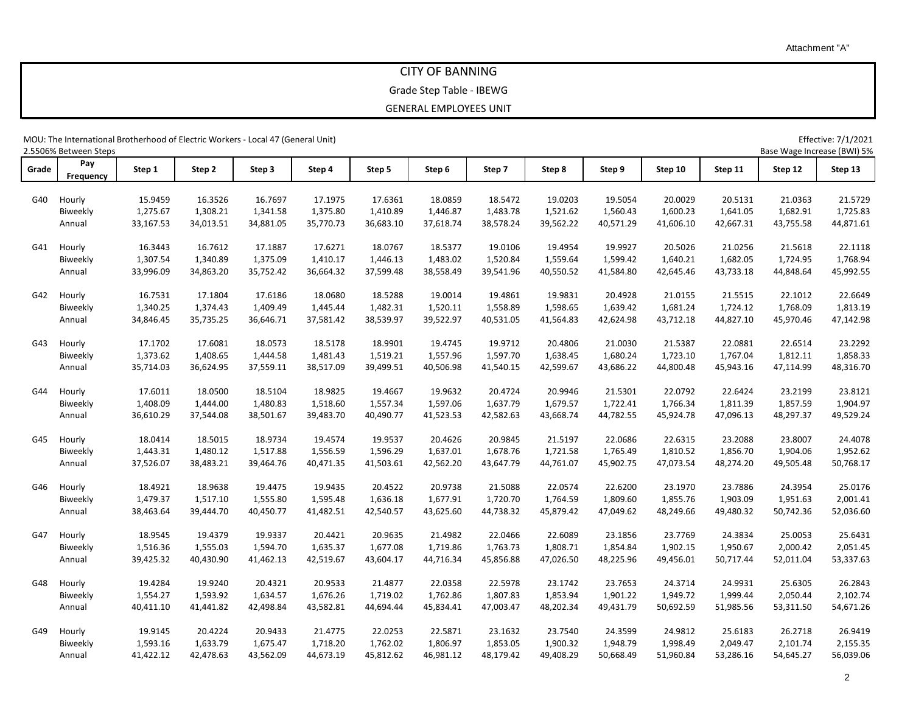## CITY OF BANNING

### Grade Step Table - IBEWG

#### GENERAL EMPLOYEES UNIT

MOU: The International Brotherhood of Electric Workers - Local 47 (General Unit) Effective: 7/1/2021

2.5506% Between Steps Base Wage Increase (BWI) 5% **Grade Pay Frequency Step 1 Step 2 Step 3 Step 4 Step 5 Step 6 Step 7 Step 8 Step 9 Step 10 Step 11 Step 12 Step 13** G40 Hourly 15.9459 16.3526 16.7697 17.1975 17.6361 18.0859 18.5472 19.0203 19.5054 20.0029 20.5131 21.0363 21.5729 Biweekly 1,275.67 1,308.21 1,341.58 1,375.80 1,410.89 1,446.87 1,483.78 1,521.62 1,560.43 1,600.23 1,641.05 1,682.91 1,725.83 Annual 33,167.53 34,013.51 34,881.05 35,770.73 36,683.10 37,618.74 38,578.24 39,562.22 40,571.29 41,606.10 42,667.31 43,755.58 44,871.61 G41 Hourly 16.3443 16.7612 17.1887 17.6271 18.0767 18.5377 19.0106 19.4954 19.9927 20.5026 21.0256 21.5618 22.1118 Biweekly 1,307.54 1,340.89 1,375.09 1,410.17 1,446.13 1,483.02 1,520.84 1,559.64 1,599.42 1,640.21 1,682.05 1,724.95 1,768.94 Annual 33,996.09 34,863.20 35,752.42 36,664.32 37,599.48 38,558.49 39,541.96 40,550.52 41,584.80 42,645.46 43,733.18 44,848.64 45,992.55 G42 Hourly 16.7531 17.1804 17.6186 18.0680 18.5288 19.0014 19.4861 19.9831 20.4928 21.0155 21.5515 22.1012 22.6649 Biweekly 1,340.25 1,374.43 1,409.49 1,445.44 1,482.31 1,520.11 1,558.89 1,598.65 1,639.42 1,681.24 1,724.12 1,768.09 1,813.19 Annual 34,846.45 35,735.25 36,646.71 37,581.42 38,539.97 39,522.97 40,531.05 41,564.83 42,624.98 43,712.18 44,827.10 45,970.46 47,142.98 G43 Hourly 17.1702 17.6081 18.0573 18.5178 18.9901 19.4745 19.9712 20.4806 21.0030 21.5387 22.0881 22.6514 23.2292 Biweekly 1,373.62 1,408.65 1,444.58 1,481.43 1,519.21 1,557.96 1,597.70 1,638.45 1,680.24 1,723.10 1,767.04 1,812.11 1,858.33 Annual 35,714.03 36,624.95 37,559.11 38,517.09 39,499.51 40,506.98 41,540.15 42,599.67 43,686.22 44,800.48 45,943.16 47,114.99 48,316.70 G44 Hourly 17.6011 18.0500 18.5104 18.9825 19.4667 19.9632 20.4724 20.9946 21.5301 22.0792 22.6424 23.2199 23.8121 Biweekly 1,408.09 1,444.00 1,480.83 1,518.60 1,557.34 1,597.06 1,637.79 1,679.57 1,722.41 1,766.34 1,811.39 1,857.59 1,904.97 Annual 36,610.29 37,544.08 38,501.67 39,483.70 40,490.77 41,523.53 42,582.63 43,668.74 44,782.55 45,924.78 47,096.13 48,297.37 49,529.24 G45 Hourly 18.0414 18.5015 18.9734 19.4574 19.9537 20.4626 20.9845 21.5197 22.0686 22.6315 23.2088 23.8007 24.4078 Biweekly 1,443.31 1,480.12 1,517.88 1,556.59 1,596.29 1,637.01 1,678.76 1,721.58 1,765.49 1,810.52 1,856.70 1,904.06 1,952.62 Annual 37,526.07 38,483.21 39,464.76 40,471.35 41,503.61 42,562.20 43,647.79 44,761.07 45,902.75 47,073.54 48,274.20 49,505.48 50,768.17 G46 Hourly 18.4921 18.9638 19.4475 19.9435 20.4522 20.9738 21.5088 22.0574 22.6200 23.1970 23.7886 24.3954 25.0176 Biweekly 1,479.37 1,517.10 1,555.80 1,595.48 1,636.18 1,677.91 1,720.70 1,764.59 1,809.60 1,855.76 1,903.09 1,951.63 2,001.41 Annual 38,463.64 39,444.70 40,450.77 41,482.51 42,540.57 43,625.60 44,738.32 45,879.42 47,049.62 48,249.66 49,480.32 50,742.36 52,036.60 G47 Hourly 18.9545 19.4379 19.9337 20.4421 20.9635 21.4982 22.0466 22.6089 23.1856 23.7769 24.3834 25.0053 25.6431 Biweekly 1,516.36 1,555.03 1,594.70 1,635.37 1,677.08 1,719.86 1,763.73 1,808.71 1,854.84 1,902.15 1,950.67 2,000.42 2,051.45 Annual 39,425.32 40,430.90 41,462.13 42,519.67 43,604.17 44,716.34 45,856.88 47,026.50 48,225.96 49,456.01 50,717.44 52,011.04 53,337.63 G48 Hourly 19.4284 19.9240 20.4321 20.9533 21.4877 22.0358 22.5978 23.1742 23.7653 24.3714 24.9931 25.6305 26.2843 Biweekly 1,554.27 1,593.92 1,634.57 1,676.26 1,719.02 1,762.86 1,807.83 1,853.94 1,901.22 1,949.72 1,999.44 2,050.44 2,102.74 Annual 40,411.10 41,441.82 42,498.84 43,582.81 44,694.44 45,834.41 47,003.47 48,202.34 49,431.79 50,692.59 51,985.56 53,311.50 54,671.26 G49 Hourly 19.9145 20.4224 20.9433 21.4775 22.0253 22.5871 23.1632 23.7540 24.3599 24.9812 25.6183 26.2718 26.9419 Biweekly 1,593.16 1,633.79 1,675.47 1,718.20 1,762.02 1,806.97 1,853.05 1,900.32 1,948.79 1,998.49 2,049.47 2,101.74 2,155.35 Annual 41,422.12 42,478.63 43,562.09 44,673.19 45,812.62 46,981.12 48,179.42 49,408.29 50,668.49 51,960.84 53,286.16 54,645.27 56,039.06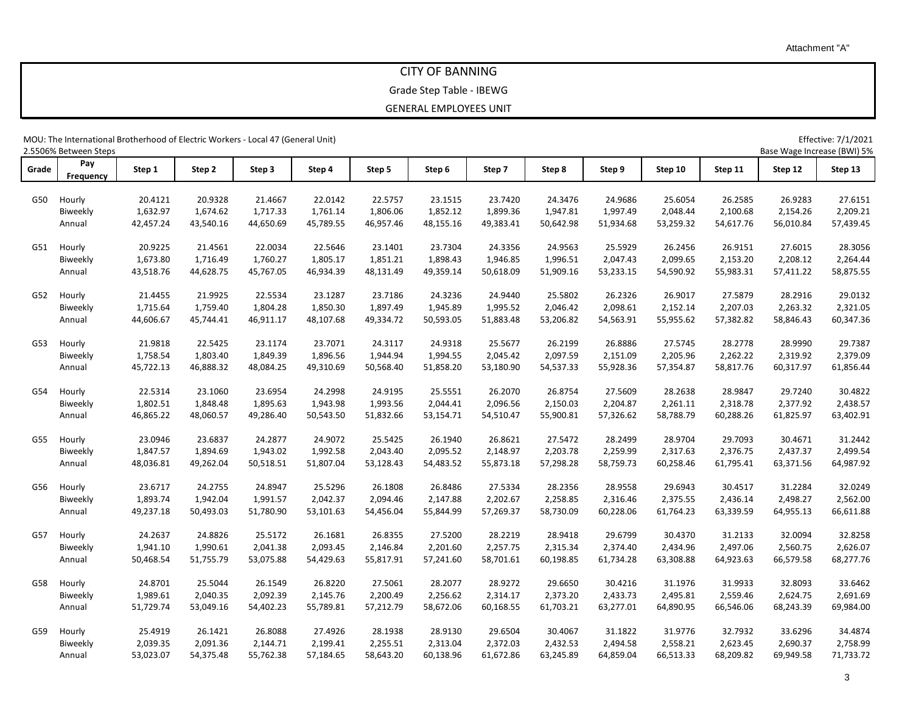## CITY OF BANNING

### Grade Step Table - IBEWG

#### GENERAL EMPLOYEES UNIT

MOU: The International Brotherhood of Electric Workers - Local 47 (General Unit) Effective: 7/1/2021

2.5506% Between Steps Base Wage Increase (BWI) 5% **Grade Pay Frequency Step 1 Step 2 Step 3 Step 4 Step 5 Step 6 Step 7 Step 8 Step 9 Step 10 Step 11 Step 12 Step 13** G50 Hourly 20.4121 20.9328 21.4667 22.0142 22.5757 23.1515 23.7420 24.3476 24.9686 25.6054 26.2585 26.9283 27.6151 Biweekly 1,632.97 1,674.62 1,717.33 1,761.14 1,806.06 1,852.12 1,899.36 1,947.81 1,997.49 2,048.44 2,100.68 2,154.26 2,209.21 Annual 42,457.24 43,540.16 44,650.69 45,789.55 46,957.46 48,155.16 49,383.41 50,642.98 51,934.68 53,259.32 54,617.76 56,010.84 57,439.45 G51 Hourly 20.9225 21.4561 22.0034 22.5646 23.1401 23.7304 24.3356 24.9563 25.5929 26.2456 26.9151 27.6015 28.3056 Biweekly 1,673.80 1,716.49 1,760.27 1,805.17 1,851.21 1,898.43 1,946.85 1,996.51 2,047.43 2,099.65 2,153.20 2,208.12 2,264.44 Annual 43,518.76 44,628.75 45,767.05 46,934.39 48,131.49 49,359.14 50,618.09 51,909.16 53,233.15 54,590.92 55,983.31 57,411.22 58,875.55 G52 Hourly 21.4455 21.9925 22.5534 23.1287 23.7186 24.3236 24.9440 25.5802 26.2326 26.9017 27.5879 28.2916 29.0132 Biweekly 1,715.64 1,759.40 1,804.28 1,850.30 1,897.49 1,945.89 1,995.52 2,046.42 2,098.61 2,152.14 2,207.03 2,263.32 2,321.05 Annual 44,606.67 45,744.41 46,911.17 48,107.68 49,334.72 50,593.05 51,883.48 53,206.82 54,563.91 55,955.62 57,382.82 58,846.43 60,347.36 G53 Hourly 21.9818 22.5425 23.1174 23.7071 24.3117 24.9318 25.5677 26.2199 26.8886 27.5745 28.2778 28.9990 29.7387 Biweekly 1,758.54 1,803.40 1,849.39 1,896.56 1,944.94 1,994.55 2,045.42 2,097.59 2,151.09 2,205.96 2,262.22 2,319.92 2,379.09 Annual 45,722.13 46,888.32 48,084.25 49,310.69 50,568.40 51,858.20 53,180.90 54,537.33 55,928.36 57,354.87 58,817.76 60,317.97 61,856.44 G54 Hourly 22.5314 23.1060 23.6954 24.2998 24.9195 25.5551 26.2070 26.8754 27.5609 28.2638 28.9847 29.7240 30.4822 Biweekly 1,802.51 1,848.48 1,895.63 1,943.98 1,993.56 2,044.41 2,096.56 2,150.03 2,204.87 2,261.11 2,318.78 2,377.92 2,438.57 Annual 46,865.22 48,060.57 49,286.40 50,543.50 51,832.66 53,154.71 54,510.47 55,900.81 57,326.62 58,788.79 60,288.26 61,825.97 63,402.91 G55 Hourly 23.0946 23.6837 24.2877 24.9072 25.5425 26.1940 26.8621 27.5472 28.2499 28.9704 29.7093 30.4671 31.2442 Biweekly 1,847.57 1,894.69 1,943.02 1,992.58 2,043.40 2,095.52 2,148.97 2,203.78 2,259.99 2,317.63 2,376.75 2,437.37 2,499.54 Annual 48,036.81 49,262.04 50,518.51 51,807.04 53,128.43 54,483.52 55,873.18 57,298.28 58,759.73 60,258.46 61,795.41 63,371.56 64,987.92 G56 Hourly 23.6717 24.2755 24.8947 25.5296 26.1808 26.8486 27.5334 28.2356 28.9558 29.6943 30.4517 31.2284 32.0249 Biweekly 1,893.74 1,942.04 1,991.57 2,042.37 2,094.46 2,147.88 2,202.67 2,258.85 2,316.46 2,375.55 2,436.14 2,498.27 2,562.00 Annual 49,237.18 50,493.03 51,780.90 53,101.63 54,456.04 55,844.99 57,269.37 58,730.09 60,228.06 61,764.23 63,339.59 64,955.13 66,611.88 G57 Hourly 24.2637 24.8826 25.5172 26.1681 26.8355 27.5200 28.2219 28.9418 29.6799 30.4370 31.2133 32.0094 32.8258 Biweekly 1,941.10 1,990.61 2,041.38 2,093.45 2,146.84 2,201.60 2,257.75 2,315.34 2,374.40 2,434.96 2,497.06 2,560.75 2,626.07 Annual 50,468.54 51,755.79 53,075.88 54,429.63 55,817.91 57,241.60 58,701.61 60,198.85 61,734.28 63,308.88 64,923.63 66,579.58 68,277.76 G58 Hourly 24.8701 25.5044 26.1549 26.8220 27.5061 28.2077 28.9272 29.6650 30.4216 31.1976 31.9933 32.8093 33.6462 Biweekly 1,989.61 2,040.35 2,092.39 2,145.76 2,200.49 2,256.62 2,314.17 2,373.20 2,433.73 2,495.81 2,559.46 2,624.75 2,691.69 Annual 51,729.74 53,049.16 54,402.23 55,789.81 57,212.79 58,672.06 60,168.55 61,703.21 63,277.01 64,890.95 66,546.06 68,243.39 69,984.00 G59 Hourly 25.4919 26.1421 26.8088 27.4926 28.1938 28.9130 29.6504 30.4067 31.1822 31.9776 32.7932 33.6296 34.4874 Biweekly 2,039.35 2,091.36 2,144.71 2,199.41 2,255.51 2,313.04 2,372.03 2,432.53 2,494.58 2,558.21 2,623.45 2,690.37 2,758.99 Annual 53,023.07 54,375.48 55,762.38 57,184.65 58,643.20 60,138.96 61,672.86 63,245.89 64,859.04 66,513.33 68,209.82 69,949.58 71,733.72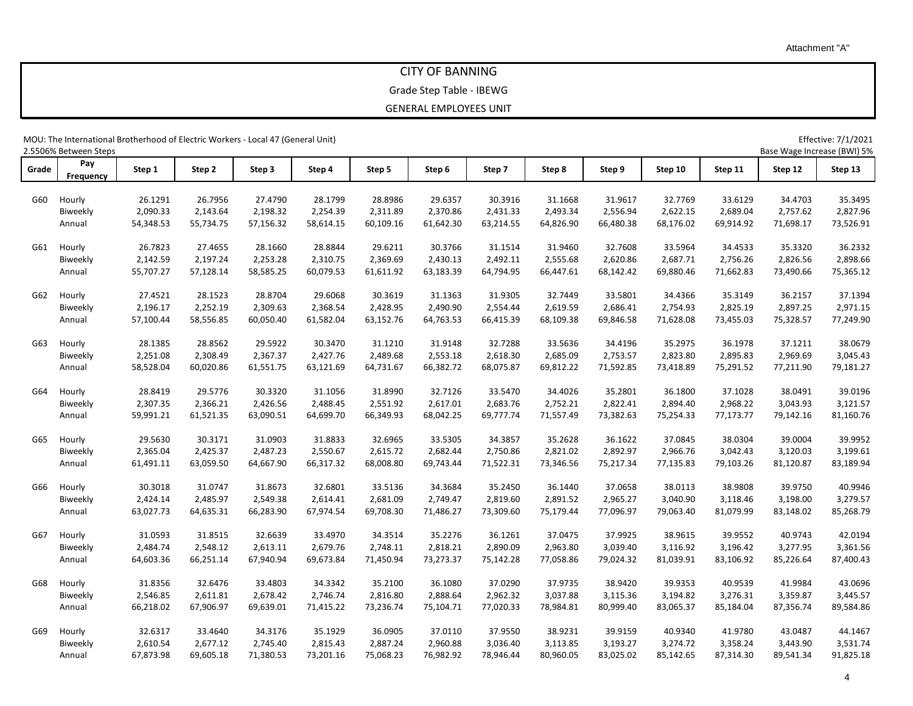## CITY OF BANNING

### Grade Step Table - IBEWG

#### GENERAL EMPLOYEES UNIT

MOU: The International Brotherhood of Electric Workers - Local 47 (General Unit) Effective: 7/1/2021

2.5506% Between Steps Base Wage Increase (BWI) 5% **Grade Pay Frequency Step 1 Step 2 Step 3 Step 4 Step 5 Step 6 Step 7 Step 8 Step 9 Step 10 Step 11 Step 12 Step 13** G60 Hourly 26.1291 26.7956 27.4790 28.1799 28.8986 29.6357 30.3916 31.1668 31.9617 32.7769 33.6129 34.4703 35.3495 Biweekly 2,090.33 2,143.64 2,198.32 2,254.39 2,311.89 2,370.86 2,431.33 2,493.34 2,556.94 2,622.15 2,689.04 2,757.62 2,827.96 Annual 54,348.53 55,734.75 57,156.32 58,614.15 60,109.16 61,642.30 63,214.55 64,826.90 66,480.38 68,176.02 69,914.92 71,698.17 73,526.91 G61 Hourly 26.7823 27.4655 28.1660 28.8844 29.6211 30.3766 31.1514 31.9460 32.7608 33.5964 34.4533 35.3320 36.2332 Biweekly 2,142.59 2,197.24 2,253.28 2,310.75 2,369.69 2,430.13 2,492.11 2,555.68 2,620.86 2,687.71 2,756.26 2,826.56 2,898.66 Annual 55,707.27 57,128.14 58,585.25 60,079.53 61,611.92 63,183.39 64,794.95 66,447.61 68,142.42 69,880.46 71,662.83 73,490.66 75,365.12 G62 Hourly 27.4521 28.1523 28.8704 29.6068 30.3619 31.1363 31.9305 32.7449 33.5801 34.4366 35.3149 36.2157 37.1394 Biweekly 2,196.17 2,252.19 2,309.63 2,368.54 2,428.95 2,490.90 2,554.44 2,619.59 2,686.41 2,754.93 2,825.19 2,897.25 2,971.15 Annual 57,100.44 58,556.85 60,050.40 61,582.04 63,152.76 64,763.53 66,415.39 68,109.38 69,846.58 71,628.08 73,455.03 75,328.57 77,249.90 G63 Hourly 28.1385 28.8562 29.5922 30.3470 31.1210 31.9148 32.7288 33.5636 34.4196 35.2975 36.1978 37.1211 38.0679 Biweekly 2,251.08 2,308.49 2,367.37 2,427.76 2,489.68 2,553.18 2,618.30 2,685.09 2,753.57 2,823.80 2,895.83 2,969.69 3,045.43 Annual 58,528.04 60,020.86 61,551.75 63,121.69 64,731.67 66,382.72 68,075.87 69,812.22 71,592.85 73,418.89 75,291.52 77,211.90 79,181.27 G64 Hourly 28.8419 29.5776 30.3320 31.1056 31.8990 32.7126 33.5470 34.4026 35.2801 36.1800 37.1028 38.0491 39.0196 Biweekly 2,307.35 2,366.21 2,426.56 2,488.45 2,551.92 2,617.01 2,683.76 2,752.21 2,822.41 2,894.40 2,968.22 3,043.93 3,121.57 Annual 59,991.21 61,521.35 63,090.51 64,699.70 66,349.93 68,042.25 69,777.74 71,557.49 73,382.63 75,254.33 77,173.77 79,142.16 81,160.76 G65 Hourly 29.5630 30.3171 31.0903 31.8833 32.6965 33.5305 34.3857 35.2628 36.1622 37.0845 38.0304 39.0004 39.9952 Biweekly 2,365.04 2,425.37 2,487.23 2,550.67 2,615.72 2,682.44 2,750.86 2,821.02 2,892.97 2,966.76 3,042.43 3,120.03 3,199.61 Annual 61,491.11 63,059.50 64,667.90 66,317.32 68,008.80 69,743.44 71,522.31 73,346.56 75,217.34 77,135.83 79,103.26 81,120.87 83,189.94 G66 Hourly 30.3018 31.0747 31.8673 32.6801 33.5136 34.3684 35.2450 36.1440 37.0658 38.0113 38.9808 39.9750 40.9946 Biweekly 2,424.14 2,485.97 2,549.38 2,614.41 2,681.09 2,749.47 2,819.60 2,891.52 2,965.27 3,040.90 3,118.46 3,198.00 3,279.57 Annual 63,027.73 64,635.31 66,283.90 67,974.54 69,708.30 71,486.27 73,309.60 75,179.44 77,096.97 79,063.40 81,079.99 83,148.02 85,268.79 G67 Hourly 31.0593 31.8515 32.6639 33.4970 34.3514 35.2276 36.1261 37.0475 37.9925 38.9615 39.9552 40.9743 42.0194 Biweekly 2,484.74 2,548.12 2,613.11 2,679.76 2,748.11 2,818.21 2,890.09 2,963.80 3,039.40 3,116.92 3,196.42 3,277.95 3,361.56 Annual 64,603.36 66,251.14 67,940.94 69,673.84 71,450.94 73,273.37 75,142.28 77,058.86 79,024.32 81,039.91 83,106.92 85,226.64 87,400.43 G68 Hourly 31.8356 32.6476 33.4803 34.3342 35.2100 36.1080 37.0290 37.9735 38.9420 39.9353 40.9539 41.9984 43.0696 Biweekly 2,546.85 2,611.81 2,678.42 2,746.74 2,816.80 2,888.64 2,962.32 3,037.88 3,115.36 3,194.82 3,276.31 3,359.87 3,445.57 Annual 66,218.02 67,906.97 69,639.01 71,415.22 73,236.74 75,104.71 77,020.33 78,984.81 80,999.40 83,065.37 85,184.04 87,356.74 89,584.86 G69 Hourly 32.6317 33.4640 34.3176 35.1929 36.0905 37.0110 37.9550 38.9231 39.9159 40.9340 41.9780 43.0487 44.1467 Biweekly 2,610.54 2,677.12 2,745.40 2,815.43 2,887.24 2,960.88 3,036.40 3,113.85 3,193.27 3,274.72 3,358.24 3,443.90 3,531.74 Annual 67,873.98 69,605.18 71,380.53 73,201.16 75,068.23 76,982.92 78,946.44 80,960.05 83,025.02 85,142.65 87,314.30 89,541.34 91,825.18